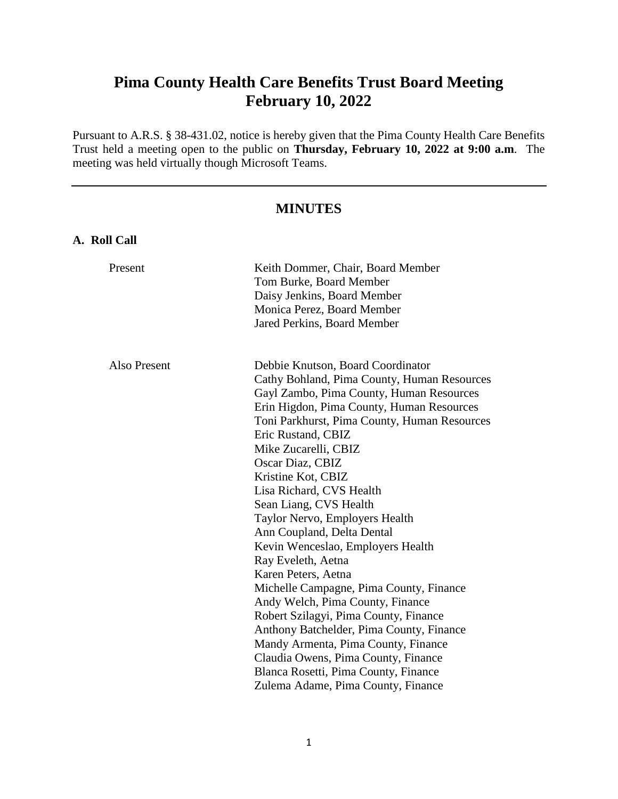# **Pima County Health Care Benefits Trust Board Meeting February 10, 2022**

Pursuant to A.R.S. § 38-431.02, notice is hereby given that the Pima County Health Care Benefits Trust held a meeting open to the public on **Thursday, February 10, 2022 at 9:00 a.m**. The meeting was held virtually though Microsoft Teams.

# **MINUTES**

**A. Roll Call**

| Present      | Keith Dommer, Chair, Board Member<br>Tom Burke, Board Member<br>Daisy Jenkins, Board Member<br>Monica Perez, Board Member                                                                                                                                                                                                                                                                                                                                                                                                                                                                                                                                                                                                                                                   |
|--------------|-----------------------------------------------------------------------------------------------------------------------------------------------------------------------------------------------------------------------------------------------------------------------------------------------------------------------------------------------------------------------------------------------------------------------------------------------------------------------------------------------------------------------------------------------------------------------------------------------------------------------------------------------------------------------------------------------------------------------------------------------------------------------------|
|              | Jared Perkins, Board Member                                                                                                                                                                                                                                                                                                                                                                                                                                                                                                                                                                                                                                                                                                                                                 |
| Also Present | Debbie Knutson, Board Coordinator<br>Cathy Bohland, Pima County, Human Resources<br>Gayl Zambo, Pima County, Human Resources<br>Erin Higdon, Pima County, Human Resources<br>Toni Parkhurst, Pima County, Human Resources<br>Eric Rustand, CBIZ<br>Mike Zucarelli, CBIZ<br>Oscar Diaz, CBIZ<br>Kristine Kot, CBIZ<br>Lisa Richard, CVS Health<br>Sean Liang, CVS Health<br>Taylor Nervo, Employers Health<br>Ann Coupland, Delta Dental<br>Kevin Wenceslao, Employers Health<br>Ray Eveleth, Aetna<br>Karen Peters, Aetna<br>Michelle Campagne, Pima County, Finance<br>Andy Welch, Pima County, Finance<br>Robert Szilagyi, Pima County, Finance<br>Anthony Batchelder, Pima County, Finance<br>Mandy Armenta, Pima County, Finance<br>Claudia Owens, Pima County, Finance |
|              | Blanca Rosetti, Pima County, Finance<br>Zulema Adame, Pima County, Finance                                                                                                                                                                                                                                                                                                                                                                                                                                                                                                                                                                                                                                                                                                  |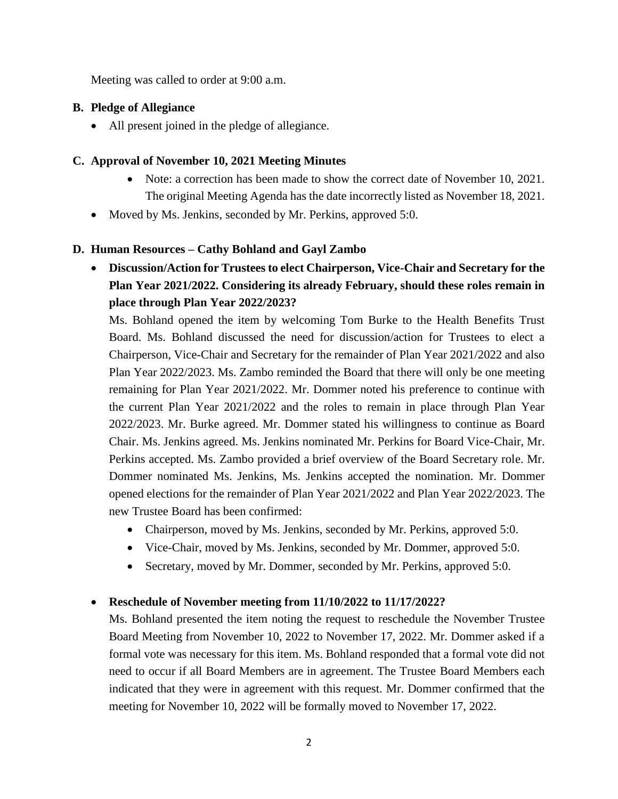Meeting was called to order at 9:00 a.m.

# **B. Pledge of Allegiance**

• All present joined in the pledge of allegiance.

# **C. Approval of November 10, 2021 Meeting Minutes**

- Note: a correction has been made to show the correct date of November 10, 2021. The original Meeting Agenda has the date incorrectly listed as November 18, 2021.
- Moved by Ms. Jenkins, seconded by Mr. Perkins, approved 5:0.

# **D. Human Resources – Cathy Bohland and Gayl Zambo**

 **Discussion/Action for Trustees to elect Chairperson, Vice-Chair and Secretary for the Plan Year 2021/2022. Considering its already February, should these roles remain in place through Plan Year 2022/2023?**

Ms. Bohland opened the item by welcoming Tom Burke to the Health Benefits Trust Board. Ms. Bohland discussed the need for discussion/action for Trustees to elect a Chairperson, Vice-Chair and Secretary for the remainder of Plan Year 2021/2022 and also Plan Year 2022/2023. Ms. Zambo reminded the Board that there will only be one meeting remaining for Plan Year 2021/2022. Mr. Dommer noted his preference to continue with the current Plan Year 2021/2022 and the roles to remain in place through Plan Year 2022/2023. Mr. Burke agreed. Mr. Dommer stated his willingness to continue as Board Chair. Ms. Jenkins agreed. Ms. Jenkins nominated Mr. Perkins for Board Vice-Chair, Mr. Perkins accepted. Ms. Zambo provided a brief overview of the Board Secretary role. Mr. Dommer nominated Ms. Jenkins, Ms. Jenkins accepted the nomination. Mr. Dommer opened elections for the remainder of Plan Year 2021/2022 and Plan Year 2022/2023. The new Trustee Board has been confirmed:

- Chairperson, moved by Ms. Jenkins, seconded by Mr. Perkins, approved 5:0.
- Vice-Chair, moved by Ms. Jenkins, seconded by Mr. Dommer, approved 5:0.
- Secretary, moved by Mr. Dommer, seconded by Mr. Perkins, approved 5:0.

# **Reschedule of November meeting from 11/10/2022 to 11/17/2022?**

Ms. Bohland presented the item noting the request to reschedule the November Trustee Board Meeting from November 10, 2022 to November 17, 2022. Mr. Dommer asked if a formal vote was necessary for this item. Ms. Bohland responded that a formal vote did not need to occur if all Board Members are in agreement. The Trustee Board Members each indicated that they were in agreement with this request. Mr. Dommer confirmed that the meeting for November 10, 2022 will be formally moved to November 17, 2022.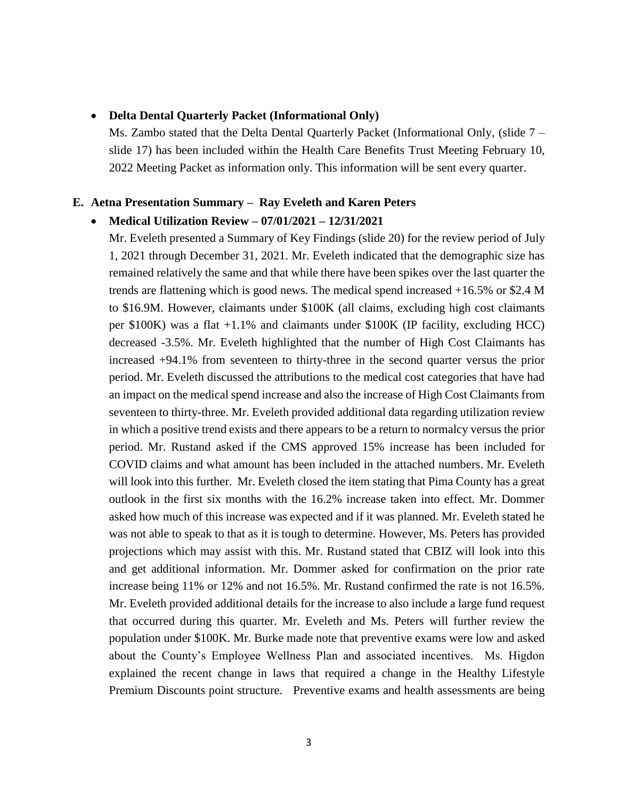#### **Delta Dental Quarterly Packet (Informational Only)**

Ms. Zambo stated that the Delta Dental Quarterly Packet (Informational Only, (slide 7 – slide 17) has been included within the Health Care Benefits Trust Meeting February 10, 2022 Meeting Packet as information only. This information will be sent every quarter.

#### **E. Aetna Presentation Summary – Ray Eveleth and Karen Peters**

#### **Medical Utilization Review – 07/01/2021 – 12/31/2021**

Mr. Eveleth presented a Summary of Key Findings (slide 20) for the review period of July 1, 2021 through December 31, 2021. Mr. Eveleth indicated that the demographic size has remained relatively the same and that while there have been spikes over the last quarter the trends are flattening which is good news. The medical spend increased +16.5% or \$2.4 M to \$16.9M. However, claimants under \$100K (all claims, excluding high cost claimants per \$100K) was a flat +1.1% and claimants under \$100K (IP facility, excluding HCC) decreased -3.5%. Mr. Eveleth highlighted that the number of High Cost Claimants has increased +94.1% from seventeen to thirty-three in the second quarter versus the prior period. Mr. Eveleth discussed the attributions to the medical cost categories that have had an impact on the medical spend increase and also the increase of High Cost Claimants from seventeen to thirty-three. Mr. Eveleth provided additional data regarding utilization review in which a positive trend exists and there appears to be a return to normalcy versus the prior period. Mr. Rustand asked if the CMS approved 15% increase has been included for COVID claims and what amount has been included in the attached numbers. Mr. Eveleth will look into this further. Mr. Eveleth closed the item stating that Pima County has a great outlook in the first six months with the 16.2% increase taken into effect. Mr. Dommer asked how much of this increase was expected and if it was planned. Mr. Eveleth stated he was not able to speak to that as it is tough to determine. However, Ms. Peters has provided projections which may assist with this. Mr. Rustand stated that CBIZ will look into this and get additional information. Mr. Dommer asked for confirmation on the prior rate increase being 11% or 12% and not 16.5%. Mr. Rustand confirmed the rate is not 16.5%. Mr. Eveleth provided additional details for the increase to also include a large fund request that occurred during this quarter. Mr. Eveleth and Ms. Peters will further review the population under \$100K. Mr. Burke made note that preventive exams were low and asked about the County's Employee Wellness Plan and associated incentives. Ms. Higdon explained the recent change in laws that required a change in the Healthy Lifestyle Premium Discounts point structure. Preventive exams and health assessments are being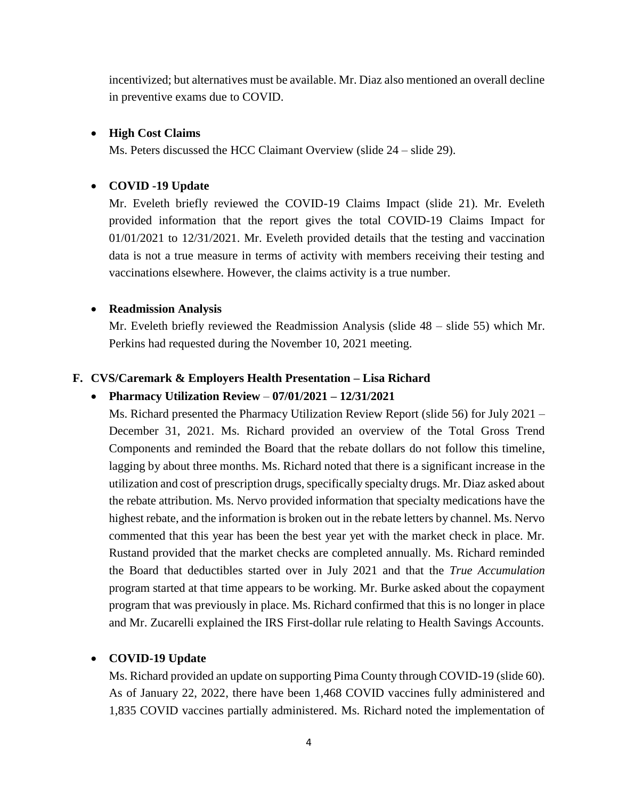incentivized; but alternatives must be available. Mr. Diaz also mentioned an overall decline in preventive exams due to COVID.

#### **High Cost Claims**

Ms. Peters discussed the HCC Claimant Overview (slide 24 – slide 29).

#### **COVID -19 Update**

Mr. Eveleth briefly reviewed the COVID-19 Claims Impact (slide 21). Mr. Eveleth provided information that the report gives the total COVID-19 Claims Impact for 01/01/2021 to 12/31/2021. Mr. Eveleth provided details that the testing and vaccination data is not a true measure in terms of activity with members receiving their testing and vaccinations elsewhere. However, the claims activity is a true number.

#### **Readmission Analysis**

Mr. Eveleth briefly reviewed the Readmission Analysis (slide 48 – slide 55) which Mr. Perkins had requested during the November 10, 2021 meeting.

#### **F. CVS/Caremark & Employers Health Presentation – Lisa Richard**

#### **Pharmacy Utilization Review** – **07/01/2021 – 12/31/2021**

Ms. Richard presented the Pharmacy Utilization Review Report (slide 56) for July 2021 – December 31, 2021. Ms. Richard provided an overview of the Total Gross Trend Components and reminded the Board that the rebate dollars do not follow this timeline, lagging by about three months. Ms. Richard noted that there is a significant increase in the utilization and cost of prescription drugs, specifically specialty drugs. Mr. Diaz asked about the rebate attribution. Ms. Nervo provided information that specialty medications have the highest rebate, and the information is broken out in the rebate letters by channel. Ms. Nervo commented that this year has been the best year yet with the market check in place. Mr. Rustand provided that the market checks are completed annually. Ms. Richard reminded the Board that deductibles started over in July 2021 and that the *True Accumulation* program started at that time appears to be working. Mr. Burke asked about the copayment program that was previously in place. Ms. Richard confirmed that this is no longer in place and Mr. Zucarelli explained the IRS First-dollar rule relating to Health Savings Accounts.

#### **COVID-19 Update**

Ms. Richard provided an update on supporting Pima County through COVID-19 (slide 60). As of January 22, 2022, there have been 1,468 COVID vaccines fully administered and 1,835 COVID vaccines partially administered. Ms. Richard noted the implementation of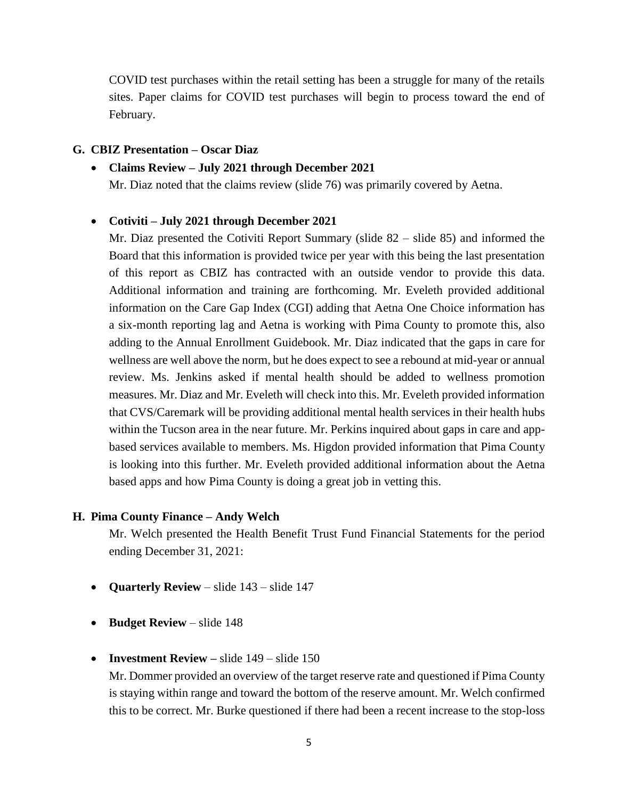COVID test purchases within the retail setting has been a struggle for many of the retails sites. Paper claims for COVID test purchases will begin to process toward the end of February.

#### **G. CBIZ Presentation – Oscar Diaz**

#### **Claims Review – July 2021 through December 2021**

Mr. Diaz noted that the claims review (slide 76) was primarily covered by Aetna.

#### **Cotiviti – July 2021 through December 2021**

Mr. Diaz presented the Cotiviti Report Summary (slide 82 – slide 85) and informed the Board that this information is provided twice per year with this being the last presentation of this report as CBIZ has contracted with an outside vendor to provide this data. Additional information and training are forthcoming. Mr. Eveleth provided additional information on the Care Gap Index (CGI) adding that Aetna One Choice information has a six-month reporting lag and Aetna is working with Pima County to promote this, also adding to the Annual Enrollment Guidebook. Mr. Diaz indicated that the gaps in care for wellness are well above the norm, but he does expect to see a rebound at mid-year or annual review. Ms. Jenkins asked if mental health should be added to wellness promotion measures. Mr. Diaz and Mr. Eveleth will check into this. Mr. Eveleth provided information that CVS/Caremark will be providing additional mental health services in their health hubs within the Tucson area in the near future. Mr. Perkins inquired about gaps in care and appbased services available to members. Ms. Higdon provided information that Pima County is looking into this further. Mr. Eveleth provided additional information about the Aetna based apps and how Pima County is doing a great job in vetting this.

#### **H. Pima County Finance – Andy Welch**

Mr. Welch presented the Health Benefit Trust Fund Financial Statements for the period ending December 31, 2021:

- **Quarterly Review** slide 143 slide 147
- **•** Budget Review slide 148
- **Investment Review** slide 149 slide 150

Mr. Dommer provided an overview of the target reserve rate and questioned if Pima County is staying within range and toward the bottom of the reserve amount. Mr. Welch confirmed this to be correct. Mr. Burke questioned if there had been a recent increase to the stop-loss